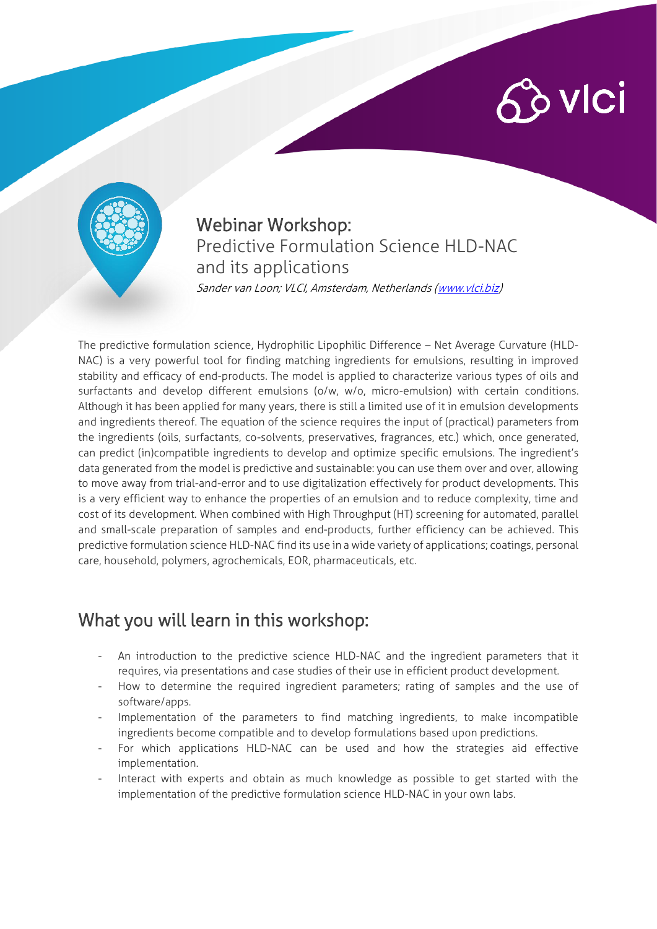# $\hat{\mathcal{C}}$  vici



#### Webinar Workshop: Predictive Formulation Science HLD-NAC and its applications Sander van Loon; VLCI, Amsterdam, Netherlands [\(www.vlci.biz\)](http://www.vlci.biz/)

The predictive formulation science, Hydrophilic Lipophilic Difference – Net Average Curvature (HLD-NAC) is a very powerful tool for finding matching ingredients for emulsions, resulting in improved stability and efficacy of end-products. The model is applied to characterize various types of oils and surfactants and develop different emulsions (o/w, w/o, micro-emulsion) with certain conditions. Although it has been applied for many years, there is still a limited use of it in emulsion developments and ingredients thereof. The equation of the science requires the input of (practical) parameters from the ingredients (oils, surfactants, co-solvents, preservatives, fragrances, etc.) which, once generated, can predict (in)compatible ingredients to develop and optimize specific emulsions. The ingredient's data generated from the model is predictive and sustainable: you can use them over and over, allowing to move away from trial-and-error and to use digitalization effectively for product developments. This is a very efficient way to enhance the properties of an emulsion and to reduce complexity, time and cost of its development. When combined with High Throughput (HT) screening for automated, parallel and small-scale preparation of samples and end-products, further efficiency can be achieved. This predictive formulation science HLD-NAC find its use in a wide variety of applications; coatings, personal care, household, polymers, agrochemicals, EOR, pharmaceuticals, etc.

## What you will learn in this workshop:

- An introduction to the predictive science HLD-NAC and the ingredient parameters that it requires, via presentations and case studies of their use in efficient product development.
- How to determine the required ingredient parameters; rating of samples and the use of software/apps.
- Implementation of the parameters to find matching ingredients, to make incompatible ingredients become compatible and to develop formulations based upon predictions.
- For which applications HLD-NAC can be used and how the strategies aid effective implementation.
- Interact with experts and obtain as much knowledge as possible to get started with the implementation of the predictive formulation science HLD-NAC in your own labs.